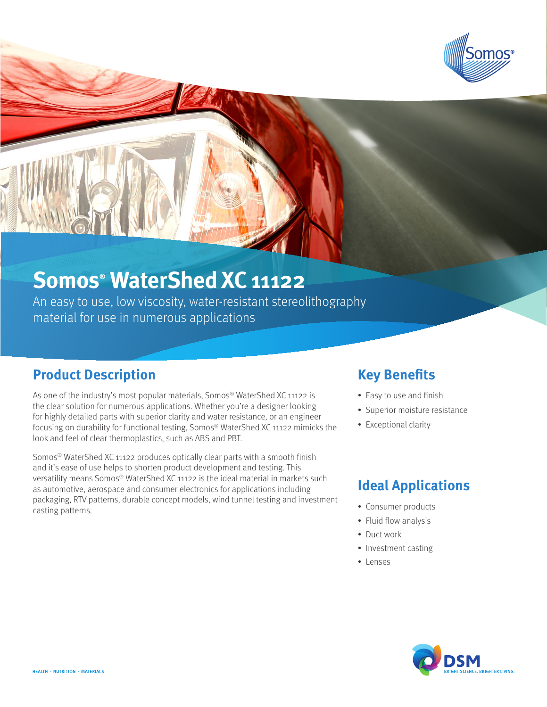

# **Somos® WaterShed XC 11122**

An easy to use, low viscosity, water-resistant stereolithography material for use in numerous applications

### **Product Description**

As one of the industry's most popular materials, Somos® WaterShed XC 11122 is the clear solution for numerous applications. Whether you're a designer looking for highly detailed parts with superior clarity and water resistance, or an engineer focusing on durability for functional testing, Somos® WaterShed XC 11122 mimicks the look and feel of clear thermoplastics, such as ABS and PBT.

Somos® WaterShed XC 11122 produces optically clear parts with a smooth finish and it's ease of use helps to shorten product development and testing. This versatility means Somos® WaterShed XC 11122 is the ideal material in markets such as automotive, aerospace and consumer electronics for applications including packaging, RTV patterns, durable concept models, wind tunnel testing and investment casting patterns.

### **Key Benefits**

- Easy to use and finish
- Superior moisture resistance
- Exceptional clarity

### **Ideal Applications**

- Consumer products
- Fluid flow analysis
- Duct work
- Investment casting
- • Lenses